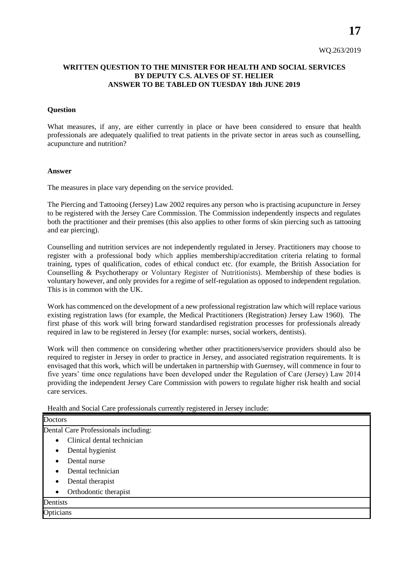**17**

## **WRITTEN QUESTION TO THE MINISTER FOR HEALTH AND SOCIAL SERVICES BY DEPUTY C.S. ALVES OF ST. HELIER ANSWER TO BE TABLED ON TUESDAY 18th JUNE 2019**

## **Question**

What measures, if any, are either currently in place or have been considered to ensure that health professionals are adequately qualified to treat patients in the private sector in areas such as counselling, acupuncture and nutrition?

## **Answer**

The measures in place vary depending on the service provided.

The Piercing and Tattooing (Jersey) Law 2002 requires any person who is practising acupuncture in Jersey to be registered with the Jersey Care Commission. The Commission independently inspects and regulates both the practitioner and their premises (this also applies to other forms of skin piercing such as tattooing and ear piercing).

Counselling and nutrition services are not independently regulated in Jersey. Practitioners may choose to register with a professional body which applies membership/accreditation criteria relating to formal training, types of qualification, codes of ethical conduct etc. (for example, the British Association for Counselling & Psychotherapy or Voluntary Register of Nutritionists). Membership of these bodies is voluntary however, and only provides for a regime of self-regulation as opposed to independent regulation. This is in common with the UK.

Work has commenced on the development of a new professional registration law which will replace various existing registration laws (for example, the Medical Practitioners (Registration) Jersey Law 1960). The first phase of this work will bring forward standardised registration processes for professionals already required in law to be registered in Jersey (for example: nurses, social workers, dentists).

Work will then commence on considering whether other practitioners/service providers should also be required to register in Jersey in order to practice in Jersey, and associated registration requirements. It is envisaged that this work, which will be undertaken in partnership with Guernsey, will commence in four to five years' time once regulations have been developed under the Regulation of Care (Jersey) Law 2014 providing the independent Jersey Care Commission with powers to regulate higher risk health and social care services.

Health and Social Care professionals currently registered in Jersey include:

| <b>Doctors</b>                          |
|-----------------------------------------|
| Dental Care Professionals including:    |
| Clinical dental technician<br>$\bullet$ |
| Dental hygienist<br>٠                   |
| Dental nurse                            |
| Dental technician                       |
| Dental therapist<br>٠                   |
| Orthodontic therapist<br>$\bullet$      |
| Dentists                                |
| Opticians                               |